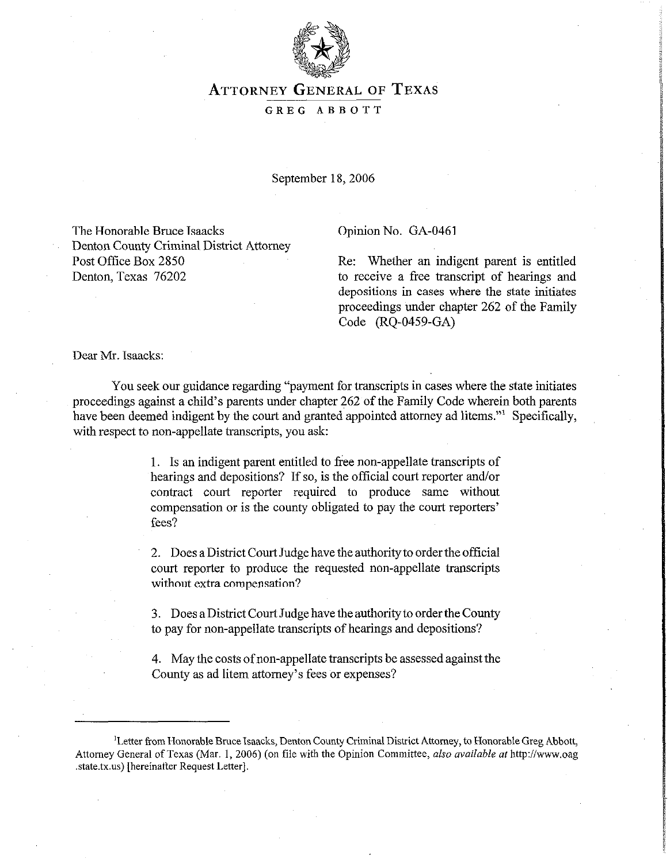

# ATTORNEY GENERAL OF **TEXAS**

#### GREG ABBOTT

September 18, 2006

The Honorable Bruce Isaacks Denton County Criminal District Attorney Post Office Box 2850 Denton, Texas 76202

Opinion No. GA-0461

Re: Whether an indigent parent is entitled to receive a free transcript of hearings and depositions in cases where the state initiates proceedings under chapter 262 of the Family Code (RQ-0459-GA)

Dear Mr. Isaacks:

You seek our guidance regarding "payment for transcripts in cases where the state initiates proceedings against a child's parents under chapter 262 of the Family Code wherein both parents have been deemed indigent by the court and granted appointed attorney ad litems."<sup>1</sup> Specifically, with respect to non-appellate transcripts, you ask:

> 1. Is an indigent parent entitled to free non-appellate transcripts of hearings and depositions? If so, is the official court reporter and/or contract court reporter required to produce same without compensation or is the county obligated to pay the court reporters' fees?

> 2. Does a District Court Judge have the authority to order the official court reporter to produce the requested non-appellate transcripts without extra compensation?

> 3. Does aDistrict Court Judge have the authority to order the County to pay for non-appellate transcripts of hearings and depositions?

> 4. May the costs of non-appellate transcripts be assessed against the County as ad litem attorney's fees or expenses?

<sup>&#</sup>x27;Letter from Honorable Bruce Isaacks, Denton County Criminal District Attorney, to Honorable Greg Abbott, Attorney General of Texas (Mar. 1, 2006) (on file with the Opinion Committee, *also available at* http://www.oag .state.tx.us) [hereinafter Request Letter].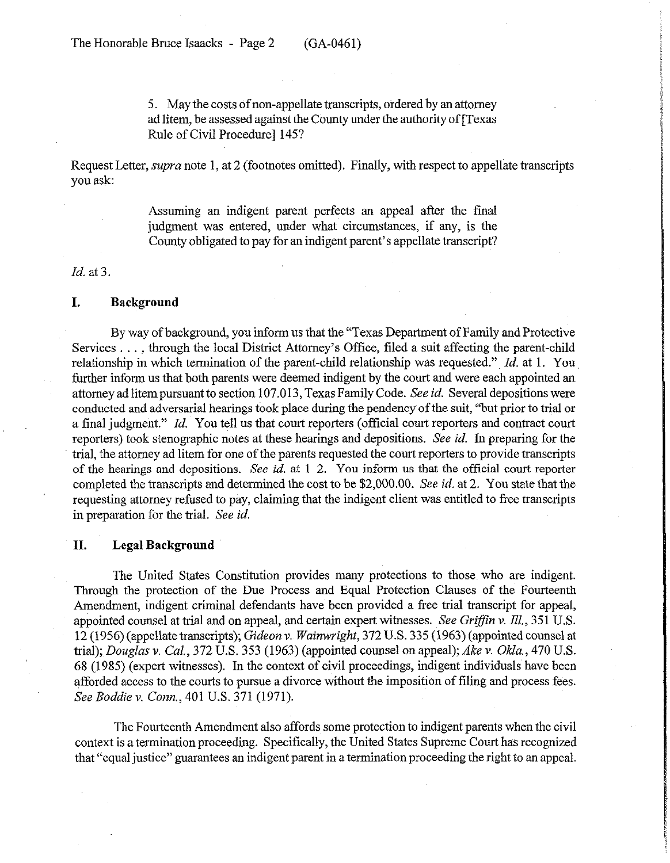5. May the costs of non-appellate transcripts, ordered by an attorney ad litem, be assessed against the County under the authority of [Texas Rule of Civil Procedure] 145?

Request Letter, *supra* note 1, at 2 (footnotes omitted). Finally, with respect to appellate transcripts you ask:

> Assuming an indigent parent perfects an appeal after the fmal judgment was entered, under what circumstances, if any, is the County obligated to pay for an indigent parent's appellate transcript?

#### *Id.* at 3.

### **I. Background**

By way of background, you inform us that the "Texas Department of Family and Protective Services . . . , through the local District Attorney's Office, filed a suit affecting the parent-child relationship in which termination of the parent-child relationship was requested." *Id.* at 1. You further inform us that both parents were deemed indigent by the court and were each appointed an attorney ad litempursuant to section 107.013, Texas Family Code. See *id.* Several depositions were conducted and adversarial hearings took place during the pendency~of the suit, "but prior to trial or a final judgment." *Id.* You tell us that court reporters (official court reporters and contract court reporters) took stenographic notes at these hearings and depositions. See *id.* In preparing for the trial, the attorney ad litem for one of the parents requested the court reporters to provide transcripts of the hearings and depositions. See *id.* at 1-2. You inform us that the official court reporter completed the transcripts and determined the cost to be \$2,000.00. See *id.* at 2. You state that the requesting attorney refused to pay, claiming that the indigent client was entitled to free transcripts in preparation for the trial. See *id.* 

### **II. Legal Background**

The United States Constitution provides many protections to those who are indigent. Through the protection of the Due Process and Equal Protection Clauses of the Fourteenth Amendment, indigent criminal defendants have been provided a free trial transcript for appeal, appointed counsel at trial and on appeal, and certain expert witnesses. See *Griffin v. Ill.*, 351 U.S. 12 (1956) (appellate transcripts); Gideon v. *Wainwvighi,* 372 U.S. 335 (1963) (appointed counsel at trial); *Douglas* v. Cal., 372 U.S. 353 (1963) (appointed counsel on appeal); *Ake v. Okla., 470* U.S. 68 (1985) (expert witnesses). In the context of civil proceedings, indigent individuals have been afforded access to the courts to pursue a divorce without the imposition of filing and process fees. *See Boddie v. Corm.,* 401 U.S. 371 (1971).

The Fourteenth Amendment also affords some protection to indigent parents when the civil context is a termination proceeding. Specifically, the United States Supreme Court has recognized that "equal justice" guarantees an indigent parent in a termination proceeding the right to an appeal.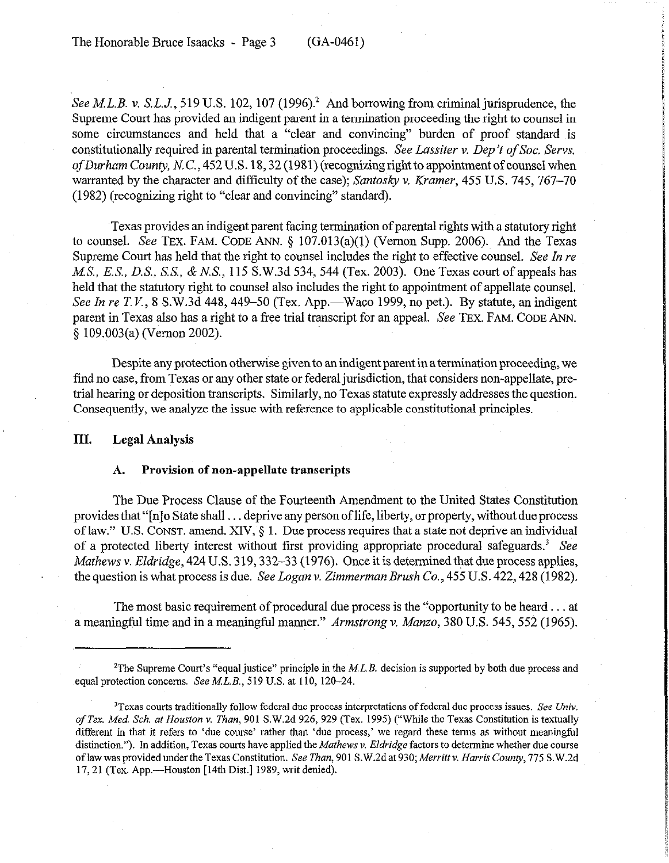See M.L.B. v. *S.L.J.*, 519 U.S. 102, 107 (1996).<sup>2</sup> And borrowing from criminal jurisprudence, the Supreme Court has provided an indigent parent in a termination proceeding the right to counsel in some circumstances and held that a "clear and convincing" burden of proof standard is constitutionally required in parental termination proceedings. See *Lassiter v. Dep't of Soc. Servs.* of Durham County, N.C.,  $452$  U.S.  $18, 32$  (1981) (recognizing right to appointment of counsel when warranted by the character and difficulty of the case); *Suntosky v. Kramer, 455* U.S. 745, 767-70 (1982) (recognizing right to "clear and convincing" standard).

Texas provides an indigent parent facing termination of parental rights with a statutory right to counsel. See TEX. FAM. CODE ANN.  $\S$  107.013(a)(1) (Vernon Supp. 2006). And the Texas Supreme Court has held that the right to counsel includes the right to effective counsel. See In re MS., ES,, *D.S.,* S.S., & N.S., 115 S.W.3d 534, 544 (Tex. 2003). One Texas court of appeals has held that the statutory right to counsel also includes the right to appointment of appellate counsel. See *In re T.V.*, 8 S.W.3d 448, 449–50 (Tex. App.—Waco 1999, no pet.). By statute, an indigent parent in Texas also has a right to a free trial transcript for an appeal. See TEX. FAM. CODE ANN. 5 109.003(a) (Vernon 2002).

Despite any protection otherwise given to an indigent parent in a termination proceeding, we find no case, from Texas or any other state or federal jurisdiction, that considers non-appellate, pretrial hearing or deposition transcripts. Similarly, no Texas statute expressly addresses the question. Consequently, we analyze the issue with reference to applicable constitutional principles.

### **III. Legal Analysis**

#### **A. Provision of non-appellate transcripts**

The Due Process Clause of the Fourteenth Amendment to the United States Constitution provides that "[n]o State shall . deprive any person of life, liberty, or property, without due process of law." US. CONST. amend. XIV, § 1. Due process requires that a state not deprive an individual of a protected liberty interest without first providing appropriate procedural safeguards.<sup>3</sup> See *Mathews v. Eldridge,* 424 U.S. 3 19,332-33 (1976). Once it is determined that due process applies, the question is what process is due. See Logan v. *Zimmerman Brush Co., 455* U.S. 422,428 (1982).

The most basic requirement of procedural due process is the "opportunity to be heard  $\dots$  at a meaningful time and in a meaningful manner." *Armstrong v. Munzo, 380* U.S. 545,552 (1965).

<sup>&</sup>lt;sup>2</sup>The Supreme Court's "equal justice" principle in the M.L.B. decision is supported by both due process and equal protection concerns. See M.L.B., 519 U.S. at 110, 120-24.

 $T$ exas courts traditionally follow federal due process interpretations of federal due process issues. See Univ. of Tex. Med. Sch. at Houston v. Than, 901 S.W.2d 926, 929 (Tex. 1995) ("While the Texas Constitution is textually different in that it refers to 'due course' rather than 'due process,' we regard these terms as without meaningful distinction."). In addition, Texas courts have applied the Mathews v. Eldridge factors to determine whether due course of law was provided under the Texas Constitution. See *Than,* 901 S.W.2d at 930; *Merritt v. Harris County, 115* S.W.2d 17, 21 (Tex. App.---Houston [14th Dist.] 1989, writ denied).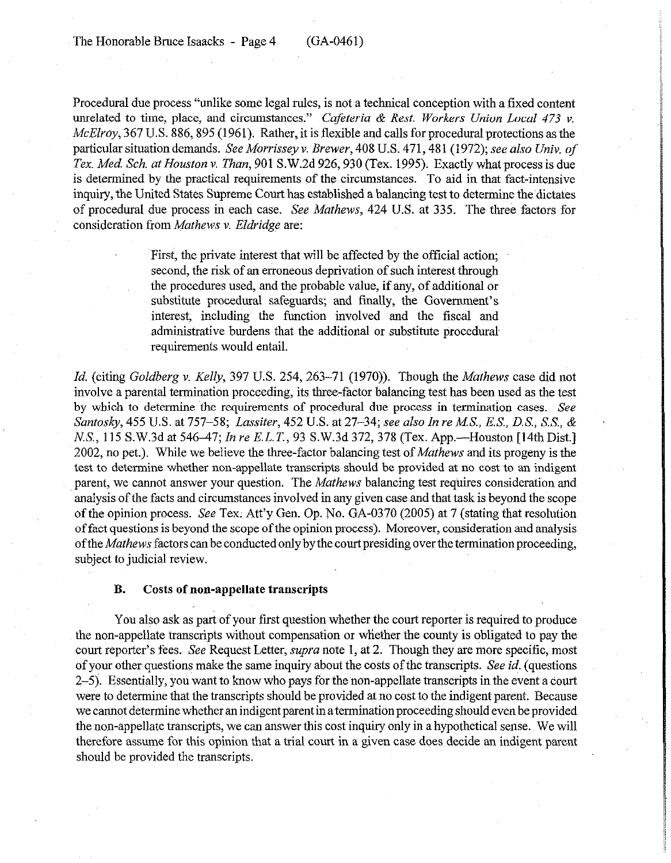Procedural due process "unlike some legal rules, is not a technical conception with a fixed content unrelated to time, place, and circumstances." *Cafeteria & Rest. Workers Union Local 473 v. McElroy,* 367 U.S. 886, 895 (1961). Rather, it is flexible and calls for procedural protections as the particular situation demands. See *Morrissey v. Brewer, 408* U.S. 471,481 (1972); see *also Univ. of Tex. Med. Sch. at Houston v. Than,* 901 S.W.2d 926,930 (Tex. 1995). Exactly what process is due is determined by the practical requirements of the circumstances. To aid in that fact-intensive inquiry, the United States Supreme Court has established a balancing test to determine the dictates of procedural due process in each case. *See Mathews,* 424 U.S. at 335. The three factors for consideration from *Mathews v. Eldridge are:* 

> First, the private interest that will be affected by the official action; second, the risk of an erroneous deprivation of such interest through the procedures used, and the probable value, if any, of additional or substitute procedural safeguards; and finally, the Govermnent's interest, including the function involved and the fiscal and administrative burdens that the additional or substitute procedural requirements would entail.

*Id.* (citing *Goldberg v. Kelly, 397 U.S. 254, 263–71 (1970)).* Though the *Mathews* case did not involve a parental termination proceeding, its three-factor balancing test has been used as the test by which to determine the requirements of procedural due process in termination cases. See *Santosky, 455* U.S. at *757-58; Lassiter, 452 U.S.* at 27-34; see also *In re MS., E.S., D.S., S.S., &*  N.S., 115 S.W.3d at 546–47; *In re E.L.T.*, 93 S.W.3d 372, 378 (Tex. App.—Houston [14th Dist.] 2002, no pet.). While we believe the three-factor balancing test of *Mathews* and its progeny is the test to determine whether non-appellate transcripts should be provided at no cost to an indigent parent, we cannot answer your question. The *Mathews* balancing test requires consideration and analysis of the facts and circumstances involved in any given case and that task is beyond the scope of the opinion process. See Tex; Att'y Gen. Op. No. GA-0370 (2005) at 7 (stating that resolution of fact questions is beyond the scope of the opinion process). Moreover, consideration and analysis ofthe *Mathews* factors can be conducted only by the court presiding over the termination proceeding, subject to judicial review.

### **B. Costs of non-appellate transcripts**

You also ask as part of your first question whether the court reporter is required to produce the non-appellate transcripts without compensation or wliether the county is obligated to pay the court reporter's fees. See Request Letter, *supra* note 1, at 2. Though they are more specific, most of your other questions make the same inquiry about the costs of the transcripts. See *id.* (questions 2-5). Essentially, you want to know who pays for the non-appellate transcripts in the event a court were to determine that the transcripts should be provided at no *cost* to the indigent parent. Because we cannot determine whether an indigent parent in a termination proceeding should even be provided the non-appellate transcripts, we can answer this cost inquiry only in a hypothetical sense. We will therefore assume for this opinion that a trial court in a given case does decide an indigent parent should be provided the transcripts.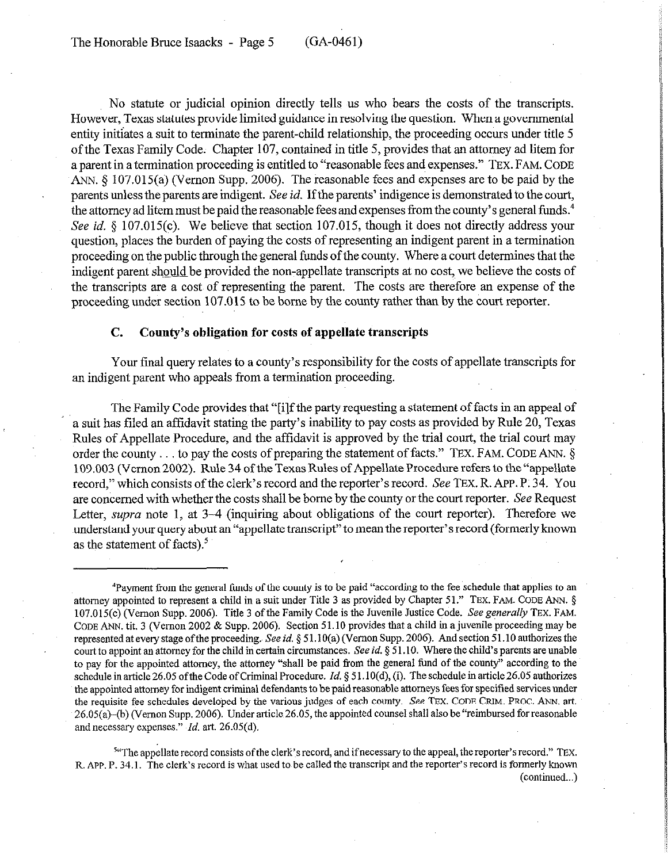No statute or judicial opinion directly tells us who bears the costs of the transcripts. However, Texas statutes provide limited guidance in resolving the question. When a governmental entity initiates a suit to terminate the parent-child relationship, the proceeding occurs under title 5 of the Texas Family Code. Chapter 107, contained in title 5, provides that an attorney ad litem for a parent in a termination proceeding is entitled to "reasonable fees and expenses." TEX. FAM. CODE ANN.  $\S$  107.015(a) (Vernon Supp. 2006). The reasonable fees and expenses are to be paid by the parents unless the parents are indigent. See *id.* If the parents' indigence is demonstrated to the court, the attorney ad litem must be paid the reasonable fees and expenses from the county's general funds.<sup>4</sup> See *id.* § 107.015(c). We believe that section 107.015, though it does not directly address your question, places the burden of paying the costs of representing an indigent parent in a termination proceeding on the public through the general funds of the county. Where a court determines that the indigent parent should be provided the non-appellate transcripts at no cost, we believe the costs of the transcripts are a cost of representing the parent. The costs are therefore an expense of the proceeding under section 107.015 to be borne by the county rather than by the court reporter.

### C. **County's obligation for costs of appellate transcripts**

Your final query relates to a county's responsibility for the costs of appellate transcripts for an indigent parent who appeals from a termination proceeding.

The Family Code provides that "[i]f the party requesting a statement of facts in an appeal of a suit has filed an affidavit stating the party's inability to pay costs as provided by Rule 20, Texas Rules of Appellate Procedure, and the affidavit is approved by the trial court, the trial court may order the county  $\dots$  to pay the costs of preparing the statement of facts." TEX. FAM. CODE ANN.  $\S$ 109.003 (Vernon 2002). Rule 34 of the Texas Rules of Appellate Procedure refers to the "appellate record," which consists of the clerk's record and the reporter's record. See TEX. R. APP. P: 34. You are concerned with whether the costs shall be borne by the county or the court reporter. See Request Letter, *supra* note 1, at 3-4 (inquiring about obligations of the court reporter). Therefore we understand your query about an "appellate transcript" to mean the reporter's record (formerly known as the statement of facts).<sup>5</sup>

<sup>56</sup> The appellate record consists of the clerk's record, and if necessary to the appeal, the reporter's record." TEX. R. APP. P. 34.1. The clerk's record is what used to be called the transcript and the reporter's record is formerly known (continued...)

<sup>&#</sup>x27;Payment from the general funds of the county is to be paid "according to the fee schedule that applies to an attorney appointed to represent a child in a suit under Title 3 as provided by Chapter 51." TEX. FAM. CODE ANN. 5 107.015(c) (Vernon Supp. 2006). Title 3 of the Family Code is the Juvenile Justice Code. See generally TEX. FAM. CODE ANN. tit. 3 (Vernon 2002 & Supp. 2006). Section 51.10 provides that a child in a juvenile proceeding may be represented at ewy stage ofthe proceeding. See *id. 5* 51.1 O(a) (Vernon Supp. 2006). And section 51 .lO authorizes the court to appoint an attorney for the child in certain circumstances. See *id.* 5 5 1.10. where the child's parents are unable to pay for the appointed attorney, the attorney "shall be paid from the general fund of the county" according to the schedule in article 26.05 of the Code of Criminal Procedure. *Id.* § 51.10(d), (i). The schedule in article 26.05 authorizes the appointed attorney for indigent criminal defendants to be paid reasonable attorneys fees for specified services under the requisite fee schedules developed by the various judges of each county. See TEX. CODE GRIM. PROC. ANN. art. 26.05(a)-(b) (Vernon Supp. 2006). Under article 26.05, the appointed counsel shall also be "reimbursed for reasonable and necessary expenses." *Id.* art. 26.05(d).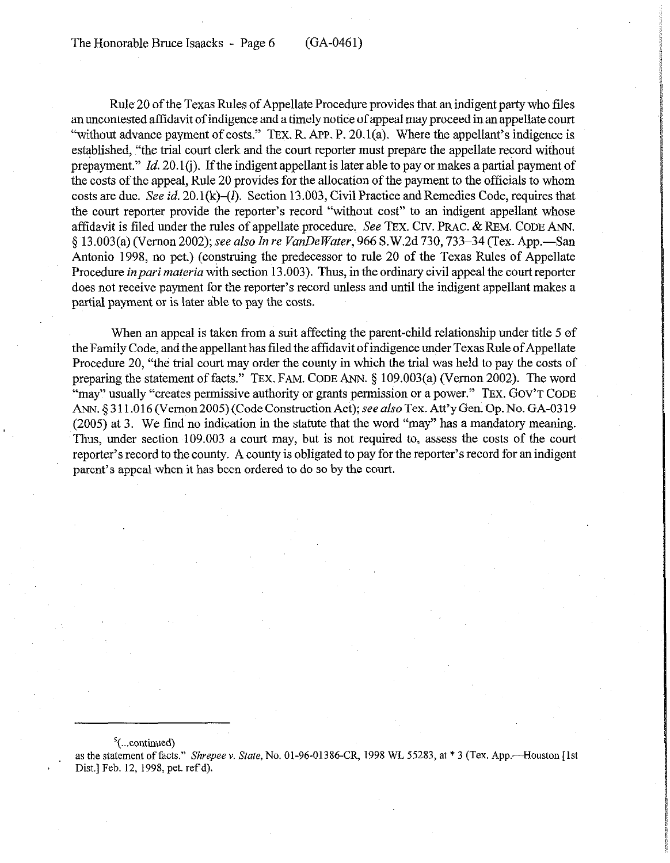Rule 20 of the Texas Rules of Appellate Procedure provides that an indigent party who tiles an uncontested affidavit of indigence and a timely notice of appeal may proceed in an appellate court "without advance payment of costs." TEx. R. APP. P. 20.1(a). Where the appellant's indigence is established, "the trial court clerk and the court reporter must prepare the appellate record without prepayment." Id. 20.1(j). If the indigent appellant is later able to pay or makes a partial payment of the costs of the appeal, Rule 20 provides for the allocation of the payment to the officials to whom costs are due. See *id.* 20.1(k)–(*l*). Section 13.003, Civil Practice and Remedies Code, requires that the court reporter provide the reporter's record "without cost" to an indigent appellant whose affidavit is filed under the rules of appellate procedure. See TEX. CIV. PRAC. & REM. CODE ANN. 5 13.003(a) (Vernon *2002); see also In re VunDe Water, 966* S.W.2d 730,733-34 (Tex. App.-San Antonio 1998, no pet.) (construing the predecessor to rule 20 of the Texas Rules of Appellate Procedure *in pari materia* with section 13.003). Thus, in the ordinary civil appeal the court reporter does not receive payment for the reporter's record unless and until the indigent appellant makes a partial payment or is later able to pay the costs.

When an appeal is taken from a suit affecting the parent-child relationship under title 5 of the Family Code, and the appellant has tiled the affidavit of indigence under Texas Rule of Appellate Procedure 20, "the trial court may order the county in which the trial was held to pay the costs of preparing the statement of facts." TEx. FAM. CODE ANN. 5 109.003(a) (Vernon 2002). The word "may" usually "creates permissive authority or grants permission or a power." TEX. GOV'T CODE ANN. § 311.016 (Vernon 2005) (Code Construction Act); see also Tex. Att'y Gen. Op. No. GA-0319 (2005) at 3. We find no indication in the statute that the word "may" has a mandatory meaning. Thus, under section 109.003 a court may, but is not required to, assess the costs of the court reporter's record to the county. A county is obligated to pay for the reporter's record for an indigent parent's appeal when it has been ordered to do so by the court.

#### $\frac{5}{2}$ (...continued)

as the statement of facts." *Shrepee v. State*, No. 01-96-01386-CR, 1998 WL 55283, at \* 3 (Tex. App.--Houston [1st Dist.] Feb. 12, 1998, pet. ref'd).